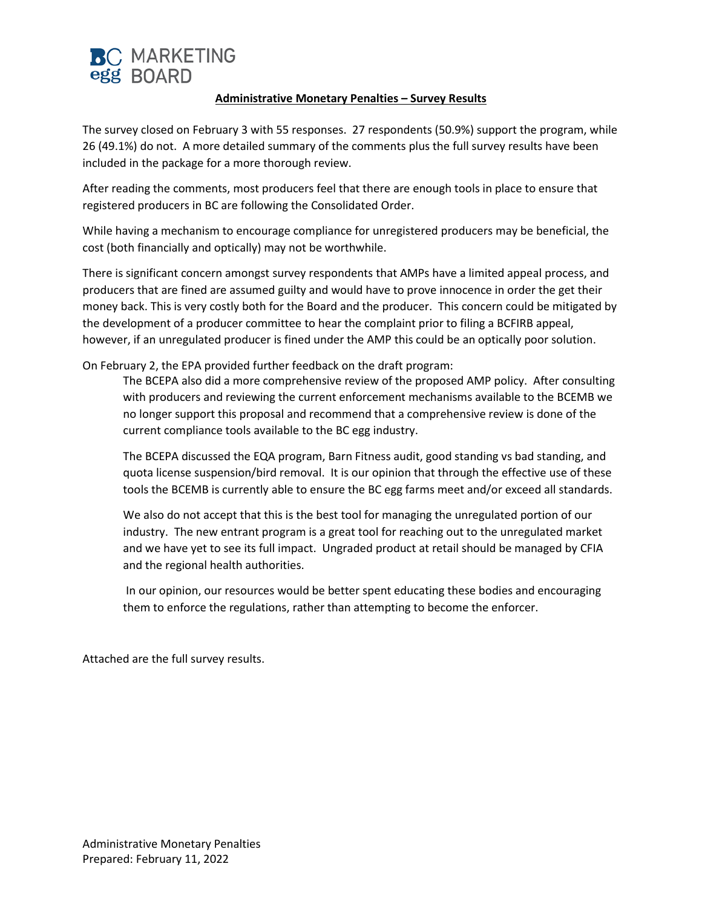

### **Administrative Monetary Penalties – Survey Results**

The survey closed on February 3 with 55 responses. 27 respondents (50.9%) support the program, while 26 (49.1%) do not. A more detailed summary of the comments plus the full survey results have been included in the package for a more thorough review.

After reading the comments, most producers feel that there are enough tools in place to ensure that registered producers in BC are following the Consolidated Order.

While having a mechanism to encourage compliance for unregistered producers may be beneficial, the cost (both financially and optically) may not be worthwhile.

There is significant concern amongst survey respondents that AMPs have a limited appeal process, and producers that are fined are assumed guilty and would have to prove innocence in order the get their money back. This is very costly both for the Board and the producer. This concern could be mitigated by the development of a producer committee to hear the complaint prior to filing a BCFIRB appeal, however, if an unregulated producer is fined under the AMP this could be an optically poor solution.

On February 2, the EPA provided further feedback on the draft program:

The BCEPA also did a more comprehensive review of the proposed AMP policy. After consulting with producers and reviewing the current enforcement mechanisms available to the BCEMB we no longer support this proposal and recommend that a comprehensive review is done of the current compliance tools available to the BC egg industry.

The BCEPA discussed the EQA program, Barn Fitness audit, good standing vs bad standing, and quota license suspension/bird removal. It is our opinion that through the effective use of these tools the BCEMB is currently able to ensure the BC egg farms meet and/or exceed all standards.

We also do not accept that this is the best tool for managing the unregulated portion of our industry. The new entrant program is a great tool for reaching out to the unregulated market and we have yet to see its full impact. Ungraded product at retail should be managed by CFIA and the regional health authorities.

In our opinion, our resources would be better spent educating these bodies and encouraging them to enforce the regulations, rather than attempting to become the enforcer.

Attached are the full survey results.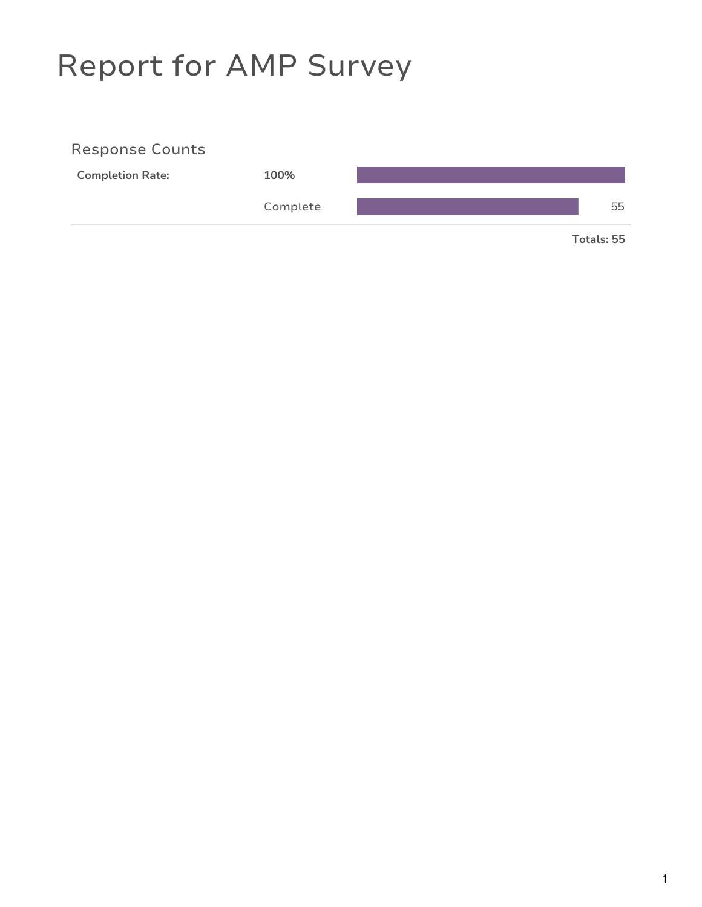# Report for AMP Survey

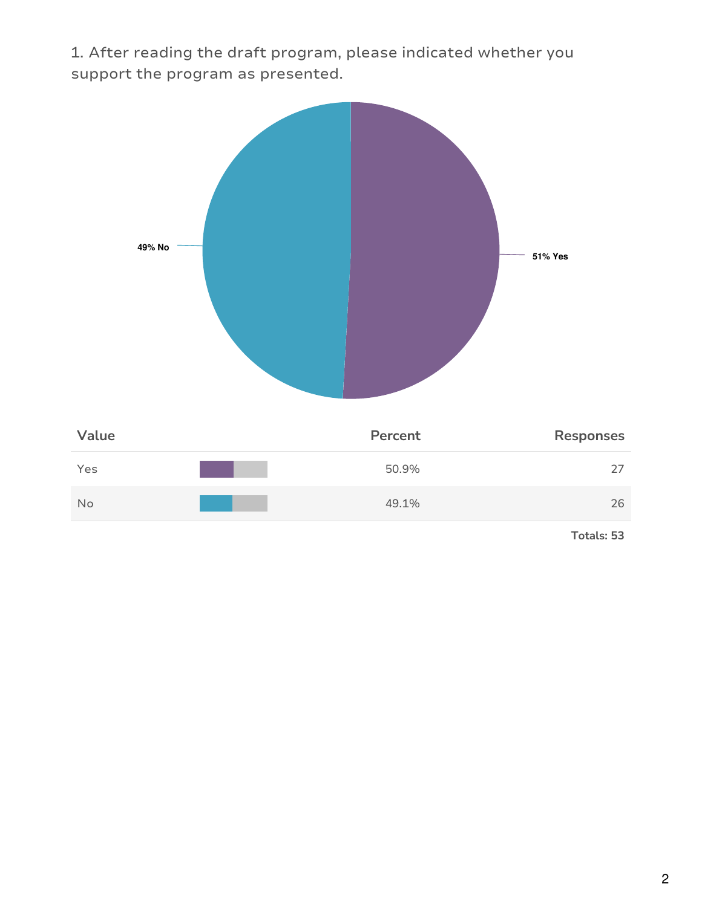1. After reading the draft program, please indicated whether you support the program as presented.



| Value | Percent | <b>Responses</b> |
|-------|---------|------------------|
| Yes   | 50.9%   | 27               |
| No    | 49.1%   | 26               |
|       |         |                  |

**Totals: 53**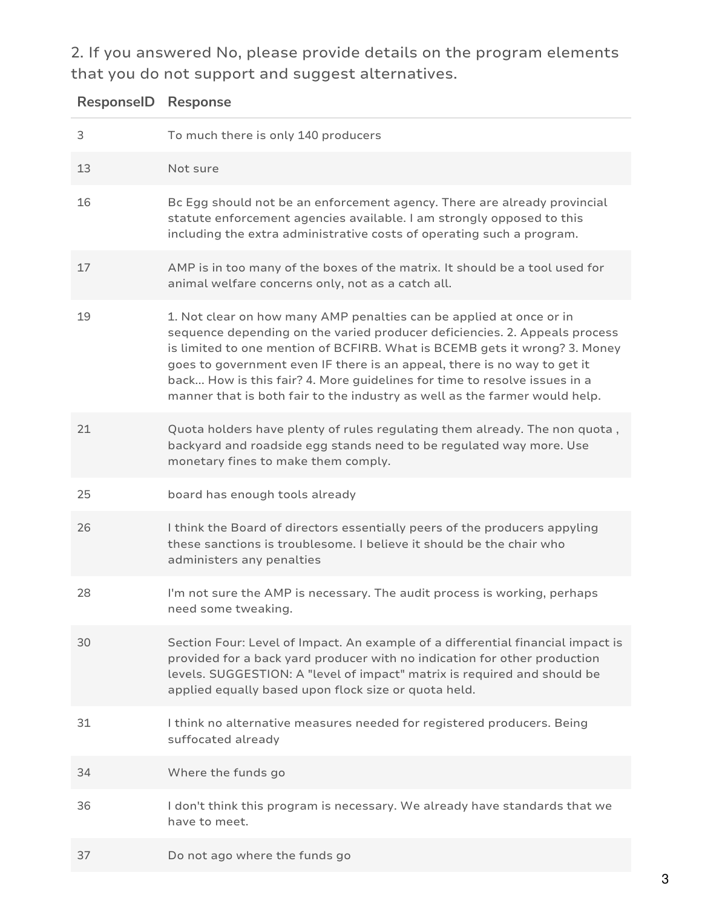2. If you answered No, please provide details on the program elements that you do not support and suggest alternatives.

| <b>ResponselD Response</b> |                                                                                                                                                                                                                                                                                                                                                                                                                                                                        |
|----------------------------|------------------------------------------------------------------------------------------------------------------------------------------------------------------------------------------------------------------------------------------------------------------------------------------------------------------------------------------------------------------------------------------------------------------------------------------------------------------------|
| 3                          | To much there is only 140 producers                                                                                                                                                                                                                                                                                                                                                                                                                                    |
| 13                         | Not sure                                                                                                                                                                                                                                                                                                                                                                                                                                                               |
| 16                         | Bc Egg should not be an enforcement agency. There are already provincial<br>statute enforcement agencies available. I am strongly opposed to this<br>including the extra administrative costs of operating such a program.                                                                                                                                                                                                                                             |
| 17                         | AMP is in too many of the boxes of the matrix. It should be a tool used for<br>animal welfare concerns only, not as a catch all.                                                                                                                                                                                                                                                                                                                                       |
| 19                         | 1. Not clear on how many AMP penalties can be applied at once or in<br>sequence depending on the varied producer deficiencies. 2. Appeals process<br>is limited to one mention of BCFIRB. What is BCEMB gets it wrong? 3. Money<br>goes to government even IF there is an appeal, there is no way to get it<br>back How is this fair? 4. More guidelines for time to resolve issues in a<br>manner that is both fair to the industry as well as the farmer would help. |
| 21                         | Quota holders have plenty of rules regulating them already. The non quota,<br>backyard and roadside egg stands need to be regulated way more. Use<br>monetary fines to make them comply.                                                                                                                                                                                                                                                                               |
| 25                         | board has enough tools already                                                                                                                                                                                                                                                                                                                                                                                                                                         |
| 26                         | I think the Board of directors essentially peers of the producers appyling<br>these sanctions is troublesome. I believe it should be the chair who<br>administers any penalties                                                                                                                                                                                                                                                                                        |
| 28                         | I'm not sure the AMP is necessary. The audit process is working, perhaps<br>need some tweaking.                                                                                                                                                                                                                                                                                                                                                                        |
| 30                         | Section Four: Level of Impact. An example of a differential financial impact is<br>provided for a back yard producer with no indication for other production<br>levels. SUGGESTION: A "level of impact" matrix is required and should be<br>applied equally based upon flock size or quota held.                                                                                                                                                                       |
| 31                         | I think no alternative measures needed for registered producers. Being<br>suffocated already                                                                                                                                                                                                                                                                                                                                                                           |
| 34                         | Where the funds go                                                                                                                                                                                                                                                                                                                                                                                                                                                     |
| 36                         | I don't think this program is necessary. We already have standards that we<br>have to meet.                                                                                                                                                                                                                                                                                                                                                                            |
| 37                         | Do not ago where the funds go                                                                                                                                                                                                                                                                                                                                                                                                                                          |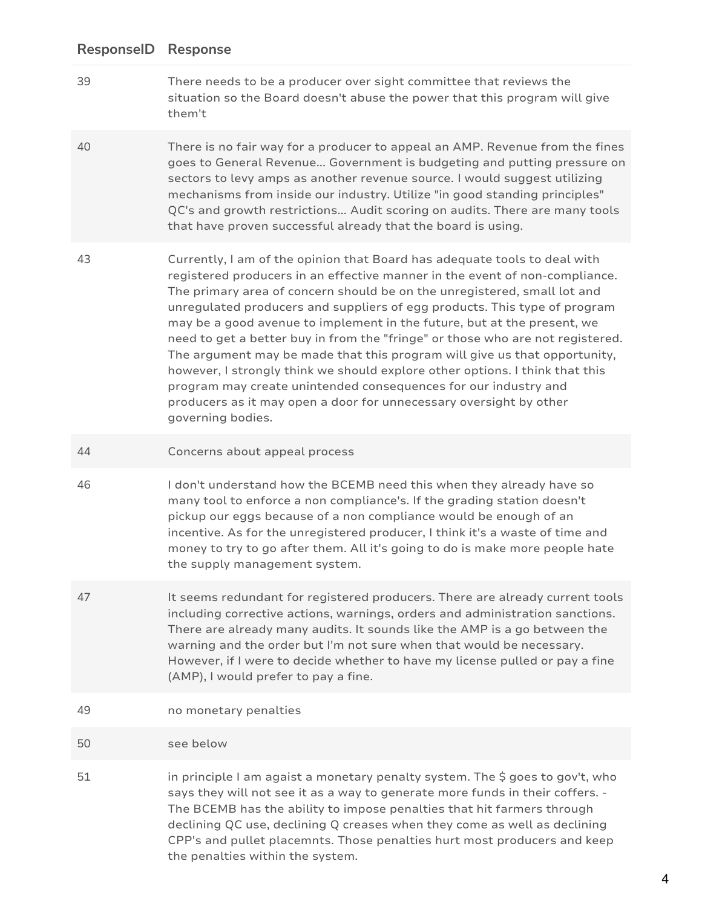39 There needs to be a producer over sight committee that reviews the situation so the Board doesn't abuse the power that this program will give them't

40 There is no fair way for a producer to appeal an AMP. Revenue from the fines goes to General Revenue... Government is budgeting and putting pressure on sectors to levy amps as another revenue source. I would suggest utilizing mechanisms from inside our industry. Utilize "in good standing principles" QC's and growth restrictions... Audit scoring on audits. There are many tools that have proven successful already that the board is using.

- 43 Currently, I am of the opinion that Board has adequate tools to deal with registered producers in an effective manner in the event of non-compliance. The primary area of concern should be on the unregistered, small lot and unregulated producers and suppliers of egg products. This type of program may be a good avenue to implement in the future, but at the present, we need to get a better buy in from the "fringe" or those who are not registered. The argument may be made that this program will give us that opportunity, however, I strongly think we should explore other options. I think that this program may create unintended consequences for our industry and producers as it may open a door for unnecessary oversight by other governing bodies.
- 44 Concerns about appeal process
- 46 I don't understand how the BCEMB need this when they already have so many tool to enforce a non compliance's. If the grading station doesn't pickup our eggs because of a non compliance would be enough of an incentive. As for the unregistered producer, I think it's a waste of time and money to try to go after them. All it's going to do is make more people hate the supply management system.
- 47 It seems redundant for registered producers. There are already current tools including corrective actions, warnings, orders and administration sanctions. There are already many audits. It sounds like the AMP is a go between the warning and the order but I'm not sure when that would be necessary. However, if I were to decide whether to have my license pulled or pay a fine (AMP), I would prefer to pay a fine.
- 49 no monetary penalties
- 50 see below
- 51 in principle I am agaist a monetary penalty system. The \$ goes to gov't, who says they will not see it as a way to generate more funds in their coffers. - The BCEMB has the ability to impose penalties that hit farmers through declining QC use, declining Q creases when they come as well as declining CPP's and pullet placemnts. Those penalties hurt most producers and keep the penalties within the system.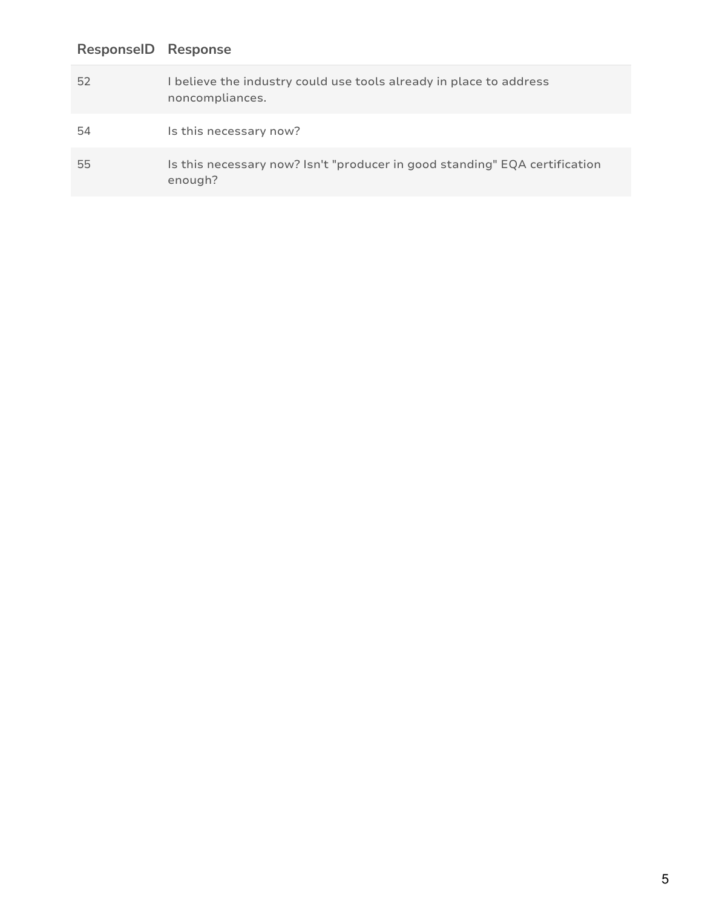| 52 | I believe the industry could use tools already in place to address<br>noncompliances. |
|----|---------------------------------------------------------------------------------------|
| 54 | Is this necessary now?                                                                |
| 55 | Is this necessary now? Isn't "producer in good standing" EQA certification<br>enough? |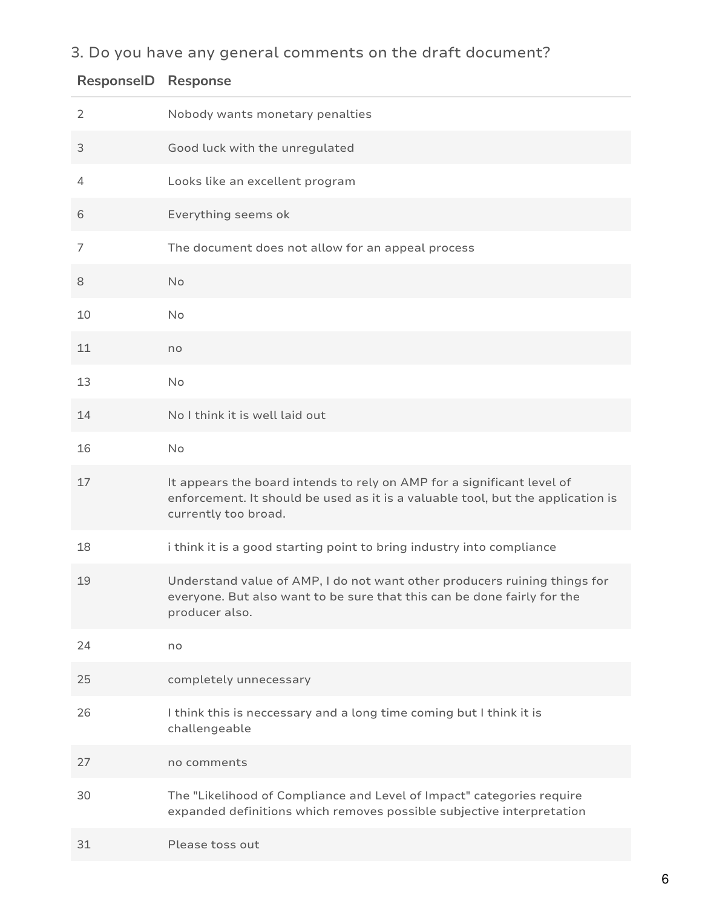# 3. Do you have any general comments on the draft document?

| ResponselD | <b>Response</b>                                                                                                                                                                   |
|------------|-----------------------------------------------------------------------------------------------------------------------------------------------------------------------------------|
| 2          | Nobody wants monetary penalties                                                                                                                                                   |
| 3          | Good luck with the unregulated                                                                                                                                                    |
| 4          | Looks like an excellent program                                                                                                                                                   |
| 6          | Everything seems ok                                                                                                                                                               |
| 7          | The document does not allow for an appeal process                                                                                                                                 |
| 8          | No                                                                                                                                                                                |
| 10         | No                                                                                                                                                                                |
| 11         | no                                                                                                                                                                                |
| 13         | No                                                                                                                                                                                |
| 14         | No I think it is well laid out                                                                                                                                                    |
| 16         | No                                                                                                                                                                                |
| 17         | It appears the board intends to rely on AMP for a significant level of<br>enforcement. It should be used as it is a valuable tool, but the application is<br>currently too broad. |
| 18         | i think it is a good starting point to bring industry into compliance                                                                                                             |
| 19         | Understand value of AMP, I do not want other producers ruining things for<br>everyone. But also want to be sure that this can be done fairly for the<br>producer also.            |
| 24         | no                                                                                                                                                                                |
| 25         | completely unnecessary                                                                                                                                                            |
| 26         | I think this is neccessary and a long time coming but I think it is<br>challengeable                                                                                              |
| 27         | no comments                                                                                                                                                                       |
| 30         | The "Likelihood of Compliance and Level of Impact" categories require<br>expanded definitions which removes possible subjective interpretation                                    |
| 31         | Please toss out                                                                                                                                                                   |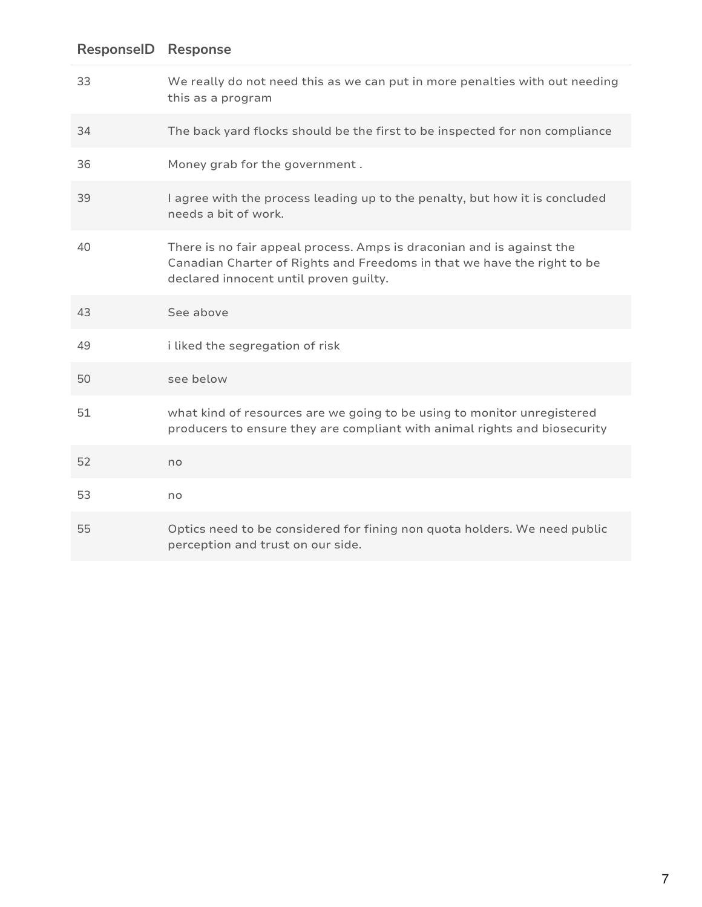# We really do not need this as we can put in more penalties with out needing this as a program The back yard flocks should be the first to be inspected for non compliance Money grab for the government . I agree with the process leading up to the penalty, but how it is concluded needs a bit of work. There is no fair appeal process. Amps is draconian and is against the Canadian Charter of Rights and Freedoms in that we have the right to be declared innocent until proven guilty. See above i liked the segregation of risk see below what kind of resources are we going to be using to monitor unregistered producers to ensure they are compliant with animal rights and biosecurity no no Optics need to be considered for fining non quota holders. We need public perception and trust on our side. **ResponseID Response**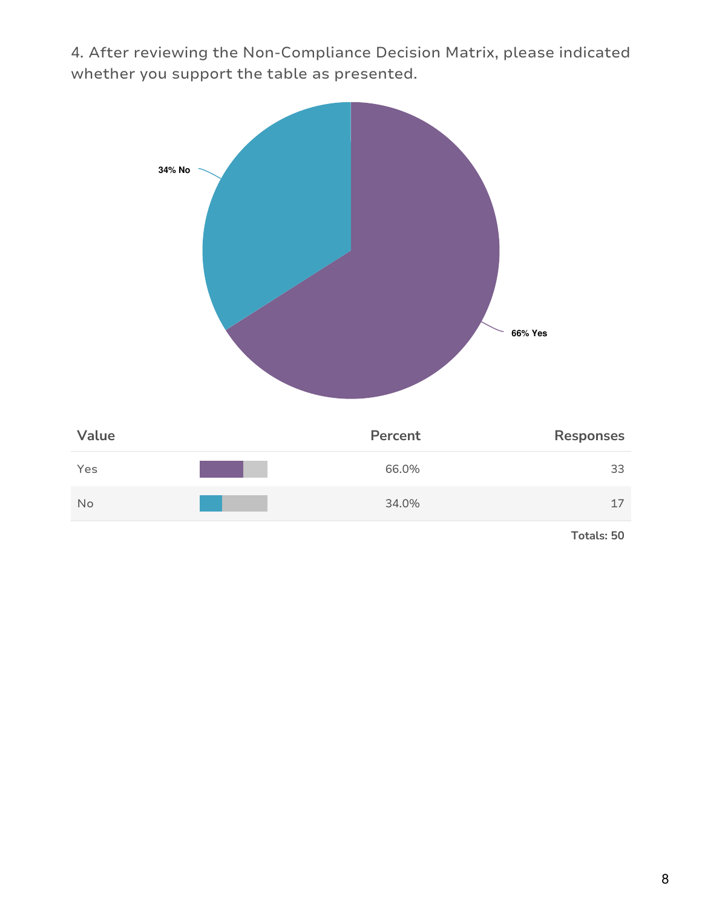4. After reviewing the Non-Compliance Decision Matrix, please indicated whether you support the table as presented.

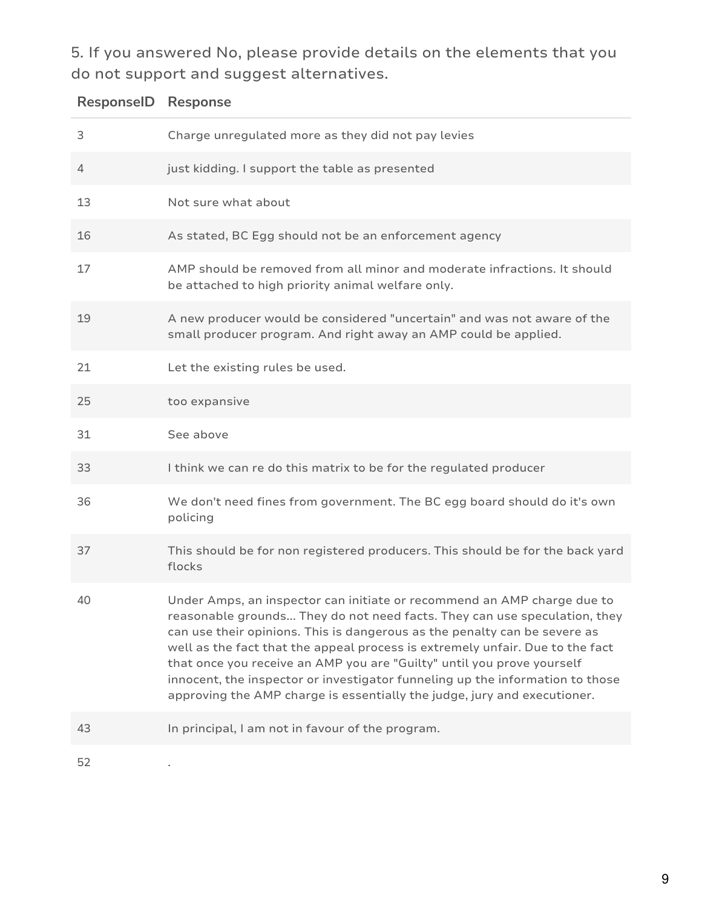5. If you answered No, please provide details on the elements that you do not support and suggest alternatives.

| <b>ResponselD Response</b> |                                                                                                                                                                                                                                                                                                                                                                                                                                                                                                                                                           |
|----------------------------|-----------------------------------------------------------------------------------------------------------------------------------------------------------------------------------------------------------------------------------------------------------------------------------------------------------------------------------------------------------------------------------------------------------------------------------------------------------------------------------------------------------------------------------------------------------|
| 3                          | Charge unregulated more as they did not pay levies                                                                                                                                                                                                                                                                                                                                                                                                                                                                                                        |
| 4                          | just kidding. I support the table as presented                                                                                                                                                                                                                                                                                                                                                                                                                                                                                                            |
| 13                         | Not sure what about                                                                                                                                                                                                                                                                                                                                                                                                                                                                                                                                       |
| 16                         | As stated, BC Egg should not be an enforcement agency                                                                                                                                                                                                                                                                                                                                                                                                                                                                                                     |
| 17                         | AMP should be removed from all minor and moderate infractions. It should<br>be attached to high priority animal welfare only.                                                                                                                                                                                                                                                                                                                                                                                                                             |
| 19                         | A new producer would be considered "uncertain" and was not aware of the<br>small producer program. And right away an AMP could be applied.                                                                                                                                                                                                                                                                                                                                                                                                                |
| 21                         | Let the existing rules be used.                                                                                                                                                                                                                                                                                                                                                                                                                                                                                                                           |
| 25                         | too expansive                                                                                                                                                                                                                                                                                                                                                                                                                                                                                                                                             |
| 31                         | See above                                                                                                                                                                                                                                                                                                                                                                                                                                                                                                                                                 |
| 33                         | I think we can re do this matrix to be for the regulated producer                                                                                                                                                                                                                                                                                                                                                                                                                                                                                         |
| 36                         | We don't need fines from government. The BC egg board should do it's own<br>policing                                                                                                                                                                                                                                                                                                                                                                                                                                                                      |
| 37                         | This should be for non registered producers. This should be for the back yard<br>flocks                                                                                                                                                                                                                                                                                                                                                                                                                                                                   |
| 40                         | Under Amps, an inspector can initiate or recommend an AMP charge due to<br>reasonable grounds They do not need facts. They can use speculation, they<br>can use their opinions. This is dangerous as the penalty can be severe as<br>well as the fact that the appeal process is extremely unfair. Due to the fact<br>that once you receive an AMP you are "Guilty" until you prove yourself<br>innocent, the inspector or investigator funneling up the information to those<br>approving the AMP charge is essentially the judge, jury and executioner. |
| 43                         | In principal, I am not in favour of the program.                                                                                                                                                                                                                                                                                                                                                                                                                                                                                                          |
| 52                         |                                                                                                                                                                                                                                                                                                                                                                                                                                                                                                                                                           |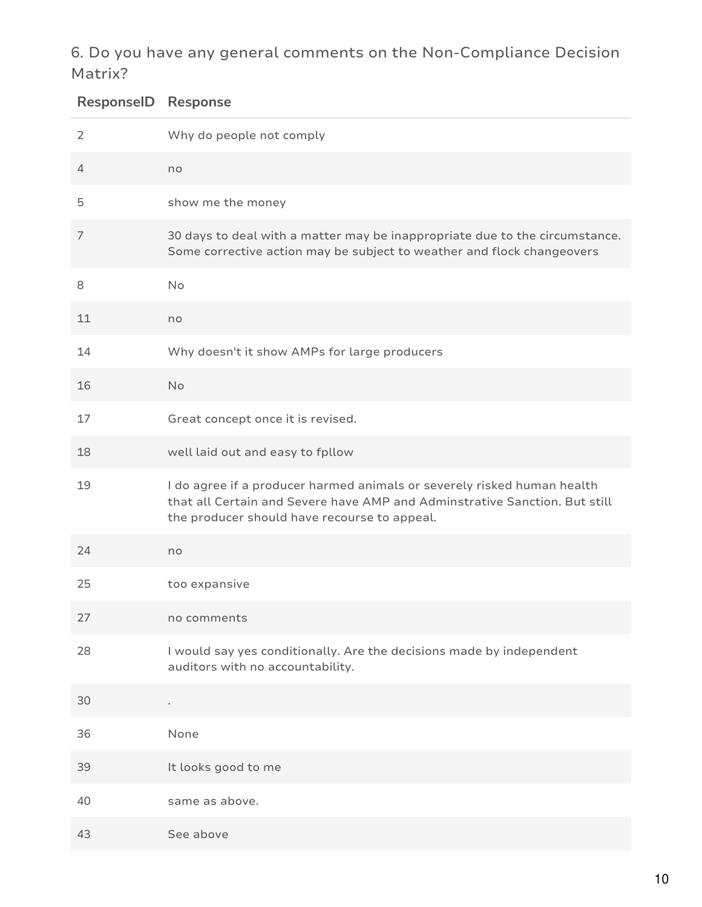## 6. Do you have any general comments on the Non-Compliance Decision Matrix?

| <b>ResponselD Response</b> |                                                                                                                                                                                                       |
|----------------------------|-------------------------------------------------------------------------------------------------------------------------------------------------------------------------------------------------------|
| $\overline{2}$             | Why do people not comply                                                                                                                                                                              |
| 4                          | no                                                                                                                                                                                                    |
| 5                          | show me the money                                                                                                                                                                                     |
| 7                          | 30 days to deal with a matter may be inappropriate due to the circumstance.<br>Some corrective action may be subject to weather and flock changeovers                                                 |
| 8                          | No                                                                                                                                                                                                    |
| 11                         | no                                                                                                                                                                                                    |
| 14                         | Why doesn't it show AMPs for large producers                                                                                                                                                          |
| 16                         | <b>No</b>                                                                                                                                                                                             |
| 17                         | Great concept once it is revised.                                                                                                                                                                     |
| 18                         | well laid out and easy to fpllow                                                                                                                                                                      |
| 19                         | I do agree if a producer harmed animals or severely risked human health<br>that all Certain and Severe have AMP and Adminstrative Sanction. But still<br>the producer should have recourse to appeal. |
| 24                         | no                                                                                                                                                                                                    |
| 25                         | too expansive                                                                                                                                                                                         |
| 27                         | no comments                                                                                                                                                                                           |
| 28                         | I would say yes conditionally. Are the decisions made by independent<br>auditors with no accountability.                                                                                              |
| 30                         |                                                                                                                                                                                                       |
| 36                         | None                                                                                                                                                                                                  |
| 39                         | It looks good to me                                                                                                                                                                                   |
| 40                         | same as above.                                                                                                                                                                                        |
| 43                         | See above                                                                                                                                                                                             |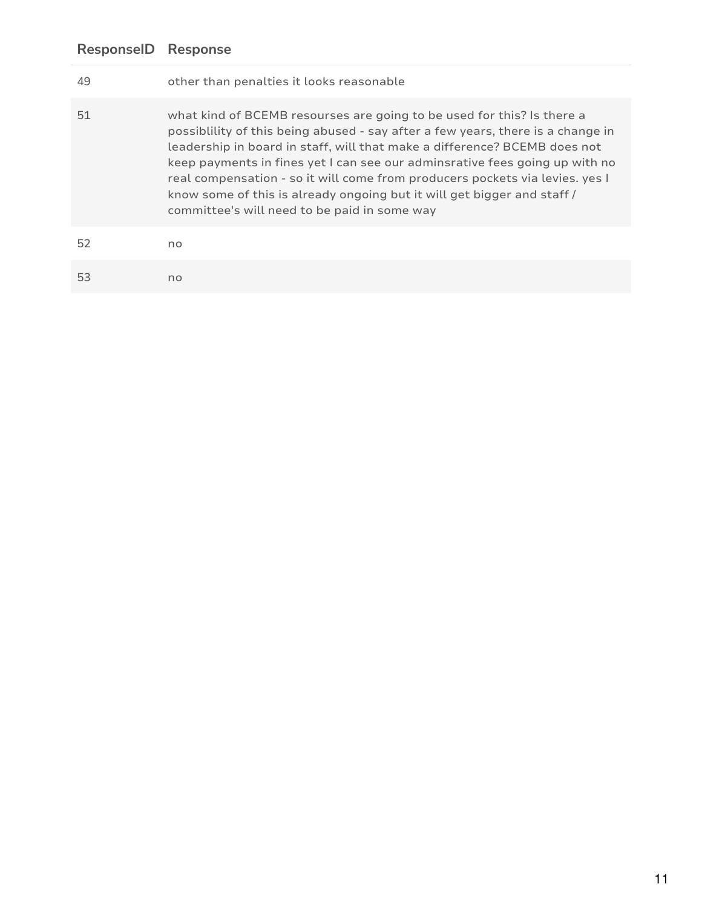| 49 | other than penalties it looks reasonable                                                                                                                                                                                                                                                                                                                                                                                                                                                                                         |
|----|----------------------------------------------------------------------------------------------------------------------------------------------------------------------------------------------------------------------------------------------------------------------------------------------------------------------------------------------------------------------------------------------------------------------------------------------------------------------------------------------------------------------------------|
| 51 | what kind of BCEMB resourses are going to be used for this? Is there a<br>possiblility of this being abused - say after a few years, there is a change in<br>leadership in board in staff, will that make a difference? BCEMB does not<br>keep payments in fines yet I can see our adminsrative fees going up with no<br>real compensation - so it will come from producers pockets via levies. yes I<br>know some of this is already ongoing but it will get bigger and staff /<br>committee's will need to be paid in some way |
| 52 | no                                                                                                                                                                                                                                                                                                                                                                                                                                                                                                                               |
| 53 | no                                                                                                                                                                                                                                                                                                                                                                                                                                                                                                                               |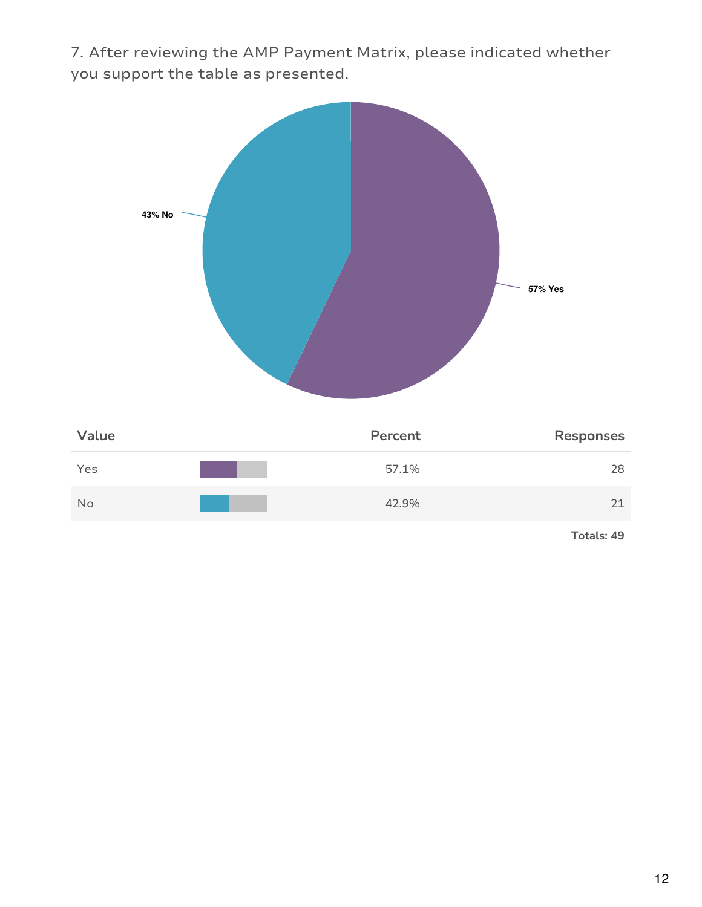7. After reviewing the AMP Payment Matrix, please indicated whether you support the table as presented.

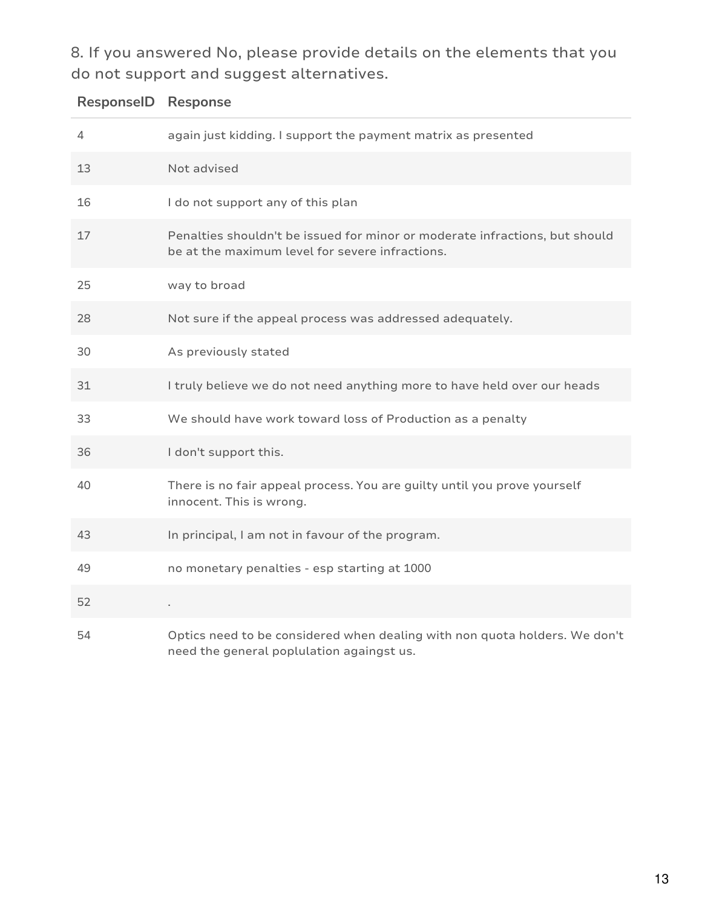8. If you answered No, please provide details on the elements that you do not support and suggest alternatives.

## **ResponseID Response**

| 4  | again just kidding. I support the payment matrix as presented                                                                  |
|----|--------------------------------------------------------------------------------------------------------------------------------|
| 13 | Not advised                                                                                                                    |
| 16 | I do not support any of this plan                                                                                              |
| 17 | Penalties shouldn't be issued for minor or moderate infractions, but should<br>be at the maximum level for severe infractions. |
| 25 | way to broad                                                                                                                   |
| 28 | Not sure if the appeal process was addressed adequately.                                                                       |
| 30 | As previously stated                                                                                                           |
| 31 | I truly believe we do not need anything more to have held over our heads                                                       |
| 33 | We should have work toward loss of Production as a penalty                                                                     |
| 36 | I don't support this.                                                                                                          |
| 40 | There is no fair appeal process. You are guilty until you prove yourself<br>innocent. This is wrong.                           |
| 43 | In principal, I am not in favour of the program.                                                                               |
| 49 | no monetary penalties - esp starting at 1000                                                                                   |
| 52 | ×.                                                                                                                             |
| 54 | Optics need to be considered when dealing with non quota holders. We don't<br>need the general poplulation againgst us.        |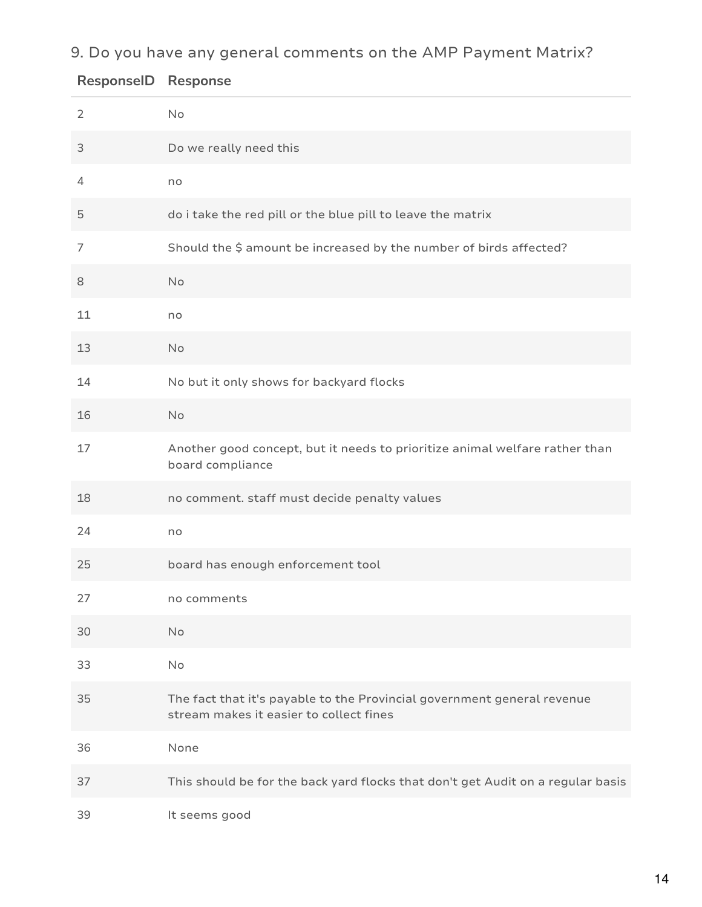9. Do you have any general comments on the AMP Payment Matrix?

| $\overline{2}$ | No                                                                                                                 |
|----------------|--------------------------------------------------------------------------------------------------------------------|
| 3              | Do we really need this                                                                                             |
| $\overline{4}$ | no                                                                                                                 |
| 5              | do i take the red pill or the blue pill to leave the matrix                                                        |
| 7              | Should the \$ amount be increased by the number of birds affected?                                                 |
| 8              | <b>No</b>                                                                                                          |
| 11             | no                                                                                                                 |
| 13             | <b>No</b>                                                                                                          |
| 14             | No but it only shows for backyard flocks                                                                           |
| 16             | <b>No</b>                                                                                                          |
| 17             | Another good concept, but it needs to prioritize animal welfare rather than<br>board compliance                    |
| 18             | no comment. staff must decide penalty values                                                                       |
| 24             | no                                                                                                                 |
| 25             | board has enough enforcement tool                                                                                  |
| 27             | no comments                                                                                                        |
| 30             | <b>No</b>                                                                                                          |
| 33             | No                                                                                                                 |
| 35             | The fact that it's payable to the Provincial government general revenue<br>stream makes it easier to collect fines |
| 36             | None                                                                                                               |
| 37             | This should be for the back yard flocks that don't get Audit on a regular basis                                    |
| 39             | It seems good                                                                                                      |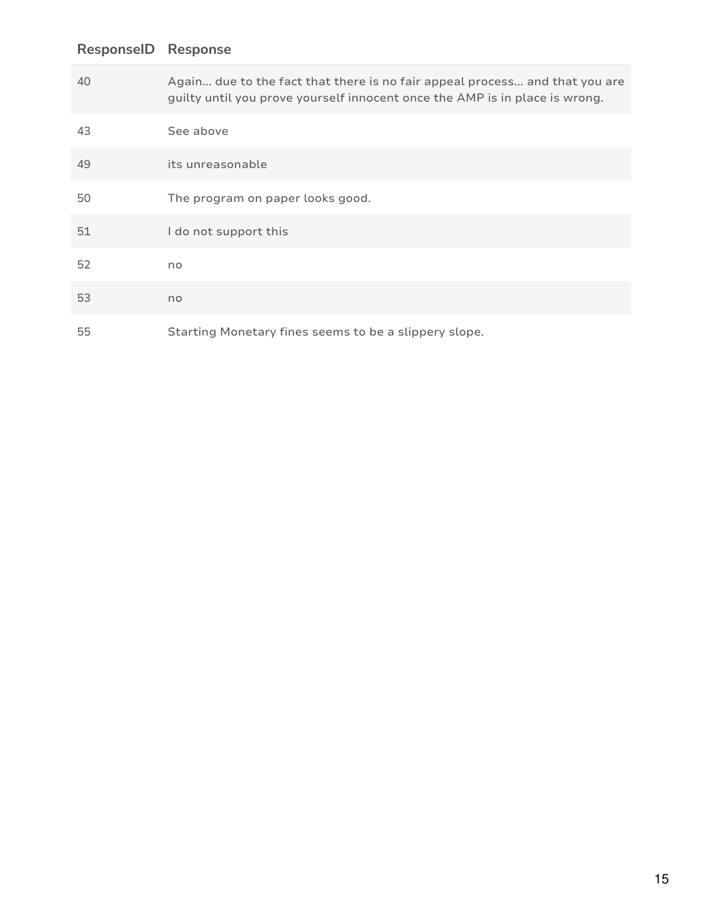# Again... due to the fact that there is no fair appeal process... and that you are guilty until you prove yourself innocent once the AMP is in place is wrong. See above its unreasonable The program on paper looks good. I do not support this no no Starting Monetary fines seems to be a slippery slope. **ResponseID Response**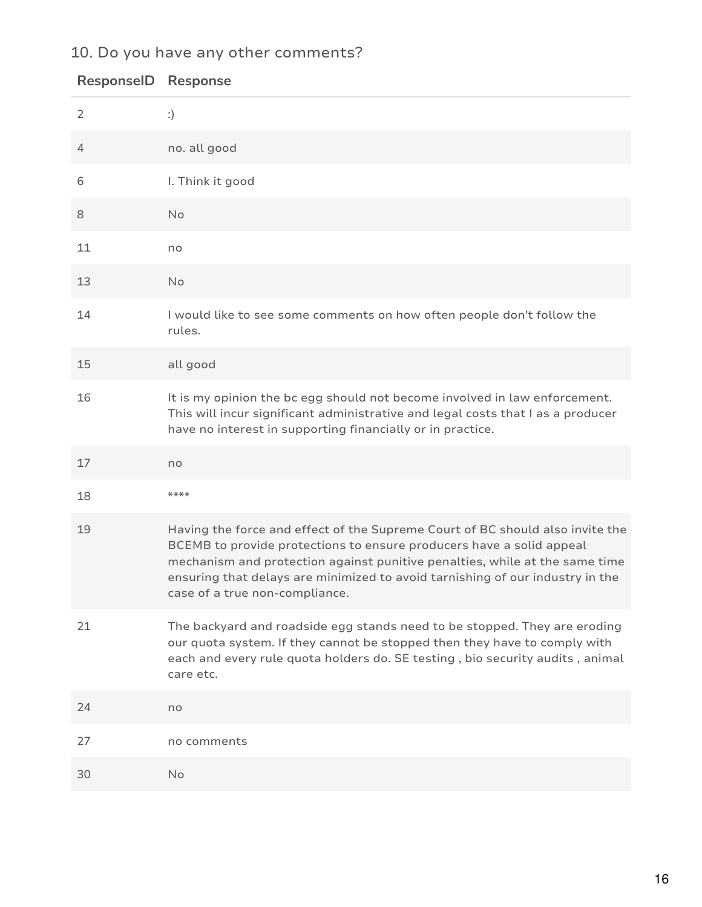## 10. Do you have any other comments?

| <b>ResponselD</b> | <b>Response</b>                                                                                                                                                                                                                                                                                                                                         |
|-------------------|---------------------------------------------------------------------------------------------------------------------------------------------------------------------------------------------------------------------------------------------------------------------------------------------------------------------------------------------------------|
| $\overline{2}$    | :)                                                                                                                                                                                                                                                                                                                                                      |
| $\overline{4}$    | no. all good                                                                                                                                                                                                                                                                                                                                            |
| 6                 | I. Think it good                                                                                                                                                                                                                                                                                                                                        |
| 8                 | No                                                                                                                                                                                                                                                                                                                                                      |
| 11                | no                                                                                                                                                                                                                                                                                                                                                      |
| 13                | No                                                                                                                                                                                                                                                                                                                                                      |
| 14                | I would like to see some comments on how often people don't follow the<br>rules.                                                                                                                                                                                                                                                                        |
| 15                | all good                                                                                                                                                                                                                                                                                                                                                |
| 16                | It is my opinion the bc egg should not become involved in law enforcement.<br>This will incur significant administrative and legal costs that I as a producer<br>have no interest in supporting financially or in practice.                                                                                                                             |
| 17                | no                                                                                                                                                                                                                                                                                                                                                      |
| 18                | $***$ **                                                                                                                                                                                                                                                                                                                                                |
| 19                | Having the force and effect of the Supreme Court of BC should also invite the<br>BCEMB to provide protections to ensure producers have a solid appeal<br>mechanism and protection against punitive penalties, while at the same time<br>ensuring that delays are minimized to avoid tarnishing of our industry in the<br>case of a true non-compliance. |
| 21                | The backyard and roadside egg stands need to be stopped. They are eroding<br>our quota system. If they cannot be stopped then they have to comply with<br>each and every rule quota holders do. SE testing, bio security audits, animal<br>care etc.                                                                                                    |
| 24                | no                                                                                                                                                                                                                                                                                                                                                      |
| 27                | no comments                                                                                                                                                                                                                                                                                                                                             |
| 30                | No                                                                                                                                                                                                                                                                                                                                                      |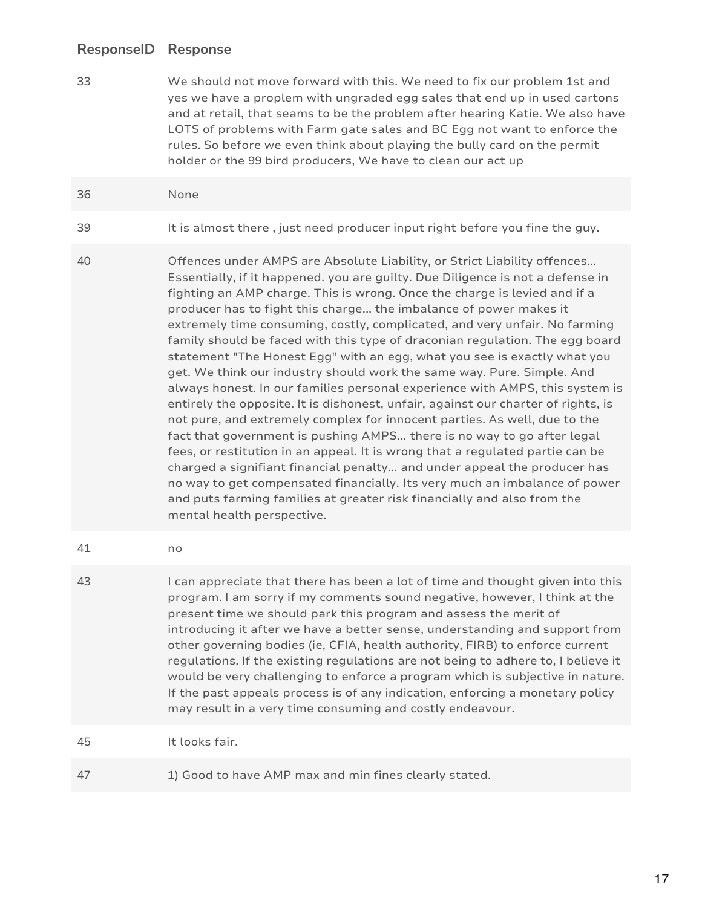33 We should not move forward with this. We need to fix our problem 1st and yes we have a proplem with ungraded egg sales that end up in used cartons and at retail, that seams to be the problem after hearing Katie. We also have LOTS of problems with Farm gate sales and BC Egg not want to enforce the rules. So before we even think about playing the bully card on the permit holder or the 99 bird producers, We have to clean our act up

#### 36 None

- 39 It is almost there , just need producer input right before you fine the guy.
- 40 Offences under AMPS are Absolute Liability, or Strict Liability offences... Essentially, if it happened. you are guilty. Due Diligence is not a defense in fighting an AMP charge. This is wrong. Once the charge is levied and if a producer has to fight this charge... the imbalance of power makes it extremely time consuming, costly, complicated, and very unfair. No farming family should be faced with this type of draconian regulation. The egg board statement "The Honest Egg" with an egg, what you see is exactly what you get. We think our industry should work the same way. Pure. Simple. And always honest. In our families personal experience with AMPS, this system is entirely the opposite. It is dishonest, unfair, against our charter of rights, is not pure, and extremely complex for innocent parties. As well, due to the fact that government is pushing AMPS... there is no way to go after legal fees, or restitution in an appeal. It is wrong that a regulated partie can be charged a signifiant financial penalty... and under appeal the producer has no way to get compensated financially. Its very much an imbalance of power and puts farming families at greater risk financially and also from the mental health perspective.
- 41 no
- 43 I can appreciate that there has been a lot of time and thought given into this program. I am sorry if my comments sound negative, however, I think at the present time we should park this program and assess the merit of introducing it after we have a better sense, understanding and support from other governing bodies (ie, CFIA, health authority, FIRB) to enforce current regulations. If the existing regulations are not being to adhere to, I believe it would be very challenging to enforce a program which is subjective in nature. If the past appeals process is of any indication, enforcing a monetary policy may result in a very time consuming and costly endeavour.

45 It looks fair.

47 1) Good to have AMP max and min fines clearly stated.